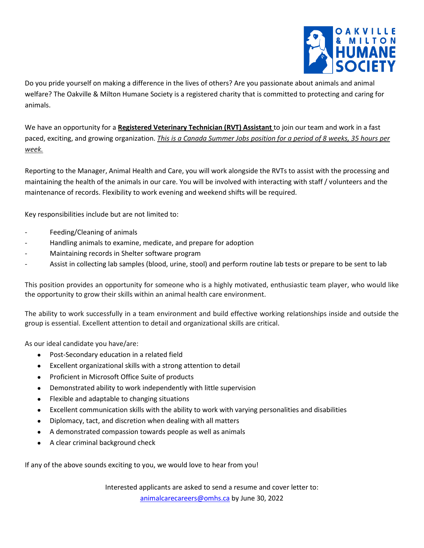

Do you pride yourself on making a difference in the lives of others? Are you passionate about animals and animal welfare? The Oakville & Milton Humane Society is a registered charity that is committed to protecting and caring for animals.

We have an opportunity for a **Registered Veterinary Technician (RVT) Assistant** to join our team and work in a fast paced, exciting, and growing organization. *This is a Canada Summer Jobs position for a period of 8 weeks, 35 hours per week.*

Reporting to the Manager, Animal Health and Care, you will work alongside the RVTs to assist with the processing and maintaining the health of the animals in our care. You will be involved with interacting with staff / volunteers and the maintenance of records. Flexibility to work evening and weekend shifts will be required.

Key responsibilities include but are not limited to:

- Feeding/Cleaning of animals
- Handling animals to examine, medicate, and prepare for adoption
- Maintaining records in Shelter software program
- Assist in collecting lab samples (blood, urine, stool) and perform routine lab tests or prepare to be sent to lab

This position provides an opportunity for someone who is a highly motivated, enthusiastic team player, who would like the opportunity to grow their skills within an animal health care environment.

The ability to work successfully in a team environment and build effective working relationships inside and outside the group is essential. Excellent attention to detail and organizational skills are critical.

As our ideal candidate you have/are:

- Post-Secondary education in a related field
- Excellent organizational skills with a strong attention to detail
- Proficient in Microsoft Office Suite of products
- Demonstrated ability to work independently with little supervision
- Flexible and adaptable to changing situations
- Excellent communication skills with the ability to work with varying personalities and disabilities
- Diplomacy, tact, and discretion when dealing with all matters
- A demonstrated compassion towards people as well as animals
- A clear criminal background check

If any of the above sounds exciting to you, we would love to hear from you!

Interested applicants are asked to send a resume and cover letter to:

[animalcarecareers@omhs.ca](mailto:animalcarecarecareers@omhs.ca) by June 30, 2022